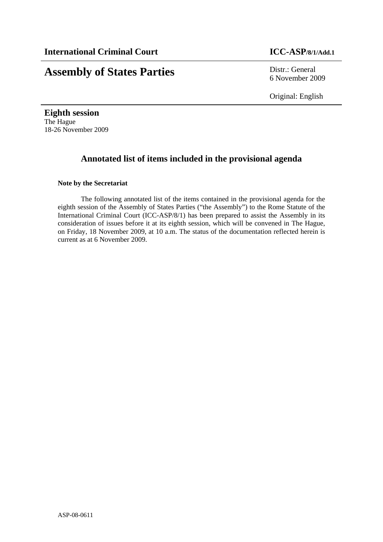# **Assembly of States Parties** Distr.: General

6 November 2009

Original: English

**Eighth session**  The Hague 18-26 November 2009

## **Annotated list of items included in the provisional agenda**

## **Note by the Secretariat**

The following annotated list of the items contained in the provisional agenda for the eighth session of the Assembly of States Parties ("the Assembly") to the Rome Statute of the International Criminal Court (ICC-ASP/8/1) has been prepared to assist the Assembly in its consideration of issues before it at its eighth session, which will be convened in The Hague, on Friday, 18 November 2009, at 10 a.m. The status of the documentation reflected herein is current as at 6 November 2009.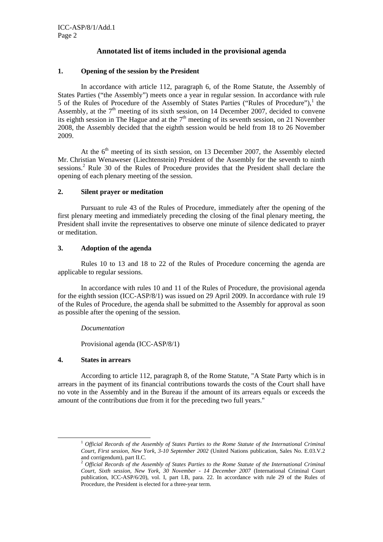## **Annotated list of items included in the provisional agenda**

## **1. Opening of the session by the President**

In accordance with article 112, paragraph 6, of the Rome Statute, the Assembly of States Parties ("the Assembly") meets once a year in regular session. In accordance with rule 5 of the Rules of Procedure of the Assembly of States Parties ("Rules of Procedure"), $<sup>1</sup>$  the</sup> Assembly, at the  $7<sup>th</sup>$  meeting of its sixth session, on 14 December 2007, decided to convene its eighth session in The Hague and at the  $7<sup>th</sup>$  meeting of its seventh session, on 21 November 2008, the Assembly decided that the eighth session would be held from 18 to 26 November 2009.

At the  $6<sup>th</sup>$  meeting of its sixth session, on 13 December 2007, the Assembly elected Mr. Christian Wenaweser (Liechtenstein) President of the Assembly for the seventh to ninth sessions.<sup>2</sup> Rule 30 of the Rules of Procedure provides that the President shall declare the opening of each plenary meeting of the session.

#### **2. Silent prayer or meditation**

Pursuant to rule 43 of the Rules of Procedure, immediately after the opening of the first plenary meeting and immediately preceding the closing of the final plenary meeting, the President shall invite the representatives to observe one minute of silence dedicated to prayer or meditation.

#### **3. Adoption of the agenda**

Rules 10 to 13 and 18 to 22 of the Rules of Procedure concerning the agenda are applicable to regular sessions.

In accordance with rules 10 and 11 of the Rules of Procedure, the provisional agenda for the eighth session (ICC-ASP/8/1) was issued on 29 April 2009. In accordance with rule 19 of the Rules of Procedure, the agenda shall be submitted to the Assembly for approval as soon as possible after the opening of the session.

#### *Documentation*

Provisional agenda (ICC-ASP/8/1)

## **4. States in arrears**

According to article 112, paragraph 8, of the Rome Statute, "A State Party which is in arrears in the payment of its financial contributions towards the costs of the Court shall have no vote in the Assembly and in the Bureau if the amount of its arrears equals or exceeds the amount of the contributions due from it for the preceding two full years."

 <sup>1</sup> *Official Records of the Assembly of States Parties to the Rome Statute of the International Criminal Court, First session, New York, 3-10 September 2002* (United Nations publication, Sales No. E.03.V.2 and corrigendum), part II.C.

<sup>2</sup> *Official Records of the Assembly of States Parties to the Rome Statute of the International Criminal Court, Sixth session, New York, 30 November - 14 December 2007* (International Criminal Court publication, ICC-ASP/6/20), vol. I, part I.B, para. 22. In accordance with rule 29 of the Rules of Procedure, the President is elected for a three-year term.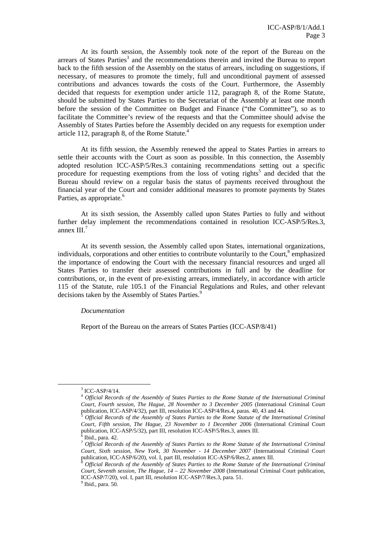At its fourth session, the Assembly took note of the report of the Bureau on the arrears of States Parties<sup>3</sup> and the recommendations therein and invited the Bureau to report back to the fifth session of the Assembly on the status of arrears, including on suggestions, if necessary, of measures to promote the timely, full and unconditional payment of assessed contributions and advances towards the costs of the Court. Furthermore, the Assembly decided that requests for exemption under article 112, paragraph 8, of the Rome Statute, should be submitted by States Parties to the Secretariat of the Assembly at least one month before the session of the Committee on Budget and Finance ("the Committee"), so as to facilitate the Committee's review of the requests and that the Committee should advise the Assembly of States Parties before the Assembly decided on any requests for exemption under article 112, paragraph 8, of the Rome Statute.<sup>4</sup>

At its fifth session, the Assembly renewed the appeal to States Parties in arrears to settle their accounts with the Court as soon as possible. In this connection, the Assembly adopted resolution ICC-ASP/5/Res.3 containing recommendations setting out a specific procedure for requesting exemptions from the loss of voting rights<sup>5</sup> and decided that the Bureau should review on a regular basis the status of payments received throughout the financial year of the Court and consider additional measures to promote payments by States Parties, as appropriate.<sup>6</sup>

At its sixth session, the Assembly called upon States Parties to fully and without further delay implement the recommendations contained in resolution ICC-ASP/5/Res.3, annex  $III.^7$ 

At its seventh session, the Assembly called upon States, international organizations, individuals, corporations and other entities to contribute voluntarily to the Court,<sup>8</sup> emphasized the importance of endowing the Court with the necessary financial resources and urged all States Parties to transfer their assessed contributions in full and by the deadline for contributions, or, in the event of pre-existing arrears, immediately, in accordance with article 115 of the Statute, rule 105.1 of the Financial Regulations and Rules, and other relevant decisions taken by the Assembly of States Parties.<sup>9</sup>

#### *Documentation*

Report of the Bureau on the arrears of States Parties (ICC-ASP/8/41)

 <sup>3</sup>  $3$  ICC-ASP/4/14.

<sup>4</sup> *Official Records of the Assembly of States Parties to the Rome Statute of the International Criminal Court, Fourth session, The Hague, 28 November to 3 December 2005* (International Criminal Court publication, ICC-ASP/4/32), part III, resolution ICC-ASP/4/Res.4, paras. 40, 43 and 44.

publication, ICC-ASP/4/32), part III, resolution ICC-ASP/4/Res.4, paras. 40, 43 and 44. 5 *Official Records of the Assembly of States Parties to the Rome Statute of the International Criminal Court, Fifth session, The Hague, 23 November to 1 December 2006* (International Criminal Court publication, ICC-ASP/5/32), part III, resolution ICC-ASP/5/Res.3, annex III. 6

Ibid., para. 42.

<sup>7</sup> *Official Records of the Assembly of States Parties to the Rome Statute of the International Criminal Court, Sixth session, New York, 30 November - 14 December 2007* (International Criminal Court publication, ICC-ASP/6/20), vol. I, part III, resolution ICC-ASP/6/Res.2, annex III.

Official Records of the Assembly of States Parties to the Rome Statute of the International Criminal *Court, Seventh session, The Hague, 14 – 22 November 2008* (International Criminal Court publication, ICC-ASP/7/20), vol. I, part III, resolution ICC-ASP/7/Res.3, para. 51.

 $<sup>9</sup>$  Ibid., para. 50.</sup>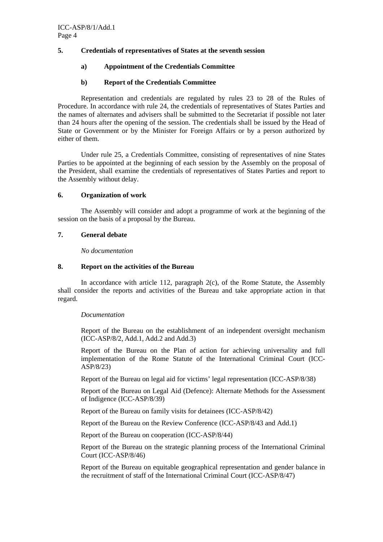## **5. Credentials of representatives of States at the seventh session**

## **a) Appointment of the Credentials Committee**

## **b) Report of the Credentials Committee**

Representation and credentials are regulated by rules 23 to 28 of the Rules of Procedure. In accordance with rule 24, the credentials of representatives of States Parties and the names of alternates and advisers shall be submitted to the Secretariat if possible not later than 24 hours after the opening of the session. The credentials shall be issued by the Head of State or Government or by the Minister for Foreign Affairs or by a person authorized by either of them.

Under rule 25, a Credentials Committee, consisting of representatives of nine States Parties to be appointed at the beginning of each session by the Assembly on the proposal of the President, shall examine the credentials of representatives of States Parties and report to the Assembly without delay.

## **6. Organization of work**

The Assembly will consider and adopt a programme of work at the beginning of the session on the basis of a proposal by the Bureau.

## **7. General debate**

*No documentation* 

## **8. Report on the activities of the Bureau**

In accordance with article 112, paragraph 2(c), of the Rome Statute, the Assembly shall consider the reports and activities of the Bureau and take appropriate action in that regard.

## *Documentation*

Report of the Bureau on the establishment of an independent oversight mechanism (ICC-ASP/8/2, Add.1, Add.2 and Add.3)

Report of the Bureau on the Plan of action for achieving universality and full implementation of the Rome Statute of the International Criminal Court (ICC-ASP/8/23)

Report of the Bureau on legal aid for victims' legal representation (ICC-ASP/8/38)

Report of the Bureau on Legal Aid (Defence): Alternate Methods for the Assessment of Indigence (ICC-ASP/8/39)

Report of the Bureau on family visits for detainees (ICC-ASP/8/42)

Report of the Bureau on the Review Conference (ICC-ASP/8/43 and Add.1)

Report of the Bureau on cooperation (ICC-ASP/8/44)

Report of the Bureau on the strategic planning process of the International Criminal Court (ICC-ASP/8/46)

Report of the Bureau on equitable geographical representation and gender balance in the recruitment of staff of the International Criminal Court (ICC-ASP/8/47)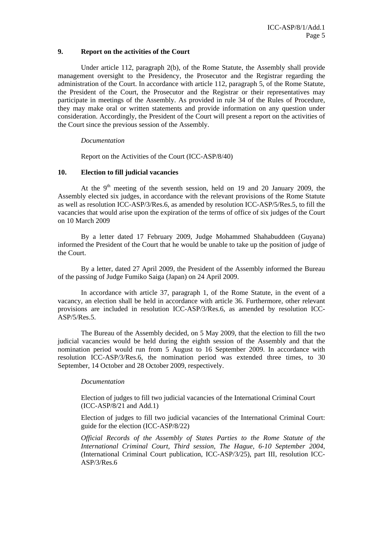#### **9. Report on the activities of the Court**

Under article 112, paragraph 2(b), of the Rome Statute, the Assembly shall provide management oversight to the Presidency, the Prosecutor and the Registrar regarding the administration of the Court. In accordance with article 112, paragraph 5, of the Rome Statute, the President of the Court, the Prosecutor and the Registrar or their representatives may participate in meetings of the Assembly. As provided in rule 34 of the Rules of Procedure, they may make oral or written statements and provide information on any question under consideration. Accordingly, the President of the Court will present a report on the activities of the Court since the previous session of the Assembly.

#### *Documentation*

Report on the Activities of the Court (ICC-ASP/8/40)

#### **10. Election to fill judicial vacancies**

At the  $9<sup>th</sup>$  meeting of the seventh session, held on 19 and 20 January 2009, the Assembly elected six judges, in accordance with the relevant provisions of the Rome Statute as well as resolution ICC-ASP/3/Res.6, as amended by resolution ICC-ASP/5/Res.5, to fill the vacancies that would arise upon the expiration of the terms of office of six judges of the Court on 10 March 2009

By a letter dated 17 February 2009, Judge Mohammed Shahabuddeen (Guyana) informed the President of the Court that he would be unable to take up the position of judge of the Court.

By a letter, dated 27 April 2009, the President of the Assembly informed the Bureau of the passing of Judge Fumiko Saiga (Japan) on 24 April 2009.

In accordance with article 37, paragraph 1, of the Rome Statute, in the event of a vacancy, an election shall be held in accordance with article 36. Furthermore, other relevant provisions are included in resolution ICC-ASP/3/Res.6, as amended by resolution ICC-ASP/5/Res.5.

The Bureau of the Assembly decided, on 5 May 2009, that the election to fill the two judicial vacancies would be held during the eighth session of the Assembly and that the nomination period would run from 5 August to 16 September 2009. In accordance with resolution ICC-ASP/3/Res.6, the nomination period was extended three times, to 30 September, 14 October and 28 October 2009, respectively.

#### *Documentation*

Election of judges to fill two judicial vacancies of the International Criminal Court (ICC-ASP/8/21 and Add.1)

Election of judges to fill two judicial vacancies of the International Criminal Court: guide for the election (ICC-ASP/8/22)

*Official Records of the Assembly of States Parties to the Rome Statute of the International Criminal Court, Third session, The Hague, 6-10 September 2004*, (International Criminal Court publication, ICC-ASP/3/25), part III, resolution ICC-ASP/3/Res.6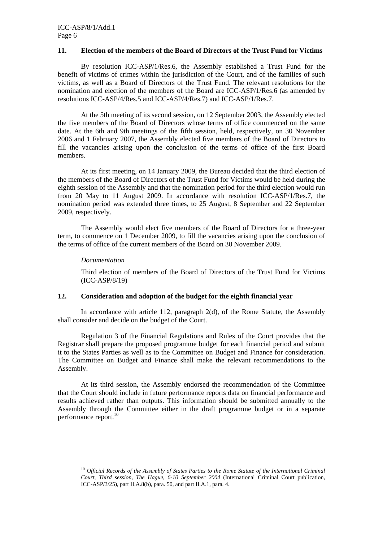#### **11. Election of the members of the Board of Directors of the Trust Fund for Victims**

By resolution ICC-ASP/1/Res.6, the Assembly established a Trust Fund for the benefit of victims of crimes within the jurisdiction of the Court, and of the families of such victims, as well as a Board of Directors of the Trust Fund. The relevant resolutions for the nomination and election of the members of the Board are ICC-ASP/1/Res.6 (as amended by resolutions ICC-ASP/4/Res.5 and ICC-ASP/4/Res.7) and ICC-ASP/1/Res.7.

At the 5th meeting of its second session, on 12 September 2003, the Assembly elected the five members of the Board of Directors whose terms of office commenced on the same date. At the 6th and 9th meetings of the fifth session, held, respectively, on 30 November 2006 and 1 February 2007, the Assembly elected five members of the Board of Directors to fill the vacancies arising upon the conclusion of the terms of office of the first Board members.

At its first meeting, on 14 January 2009, the Bureau decided that the third election of the members of the Board of Directors of the Trust Fund for Victims would be held during the eighth session of the Assembly and that the nomination period for the third election would run from 20 May to 11 August 2009. In accordance with resolution ICC-ASP/1/Res.7, the nomination period was extended three times, to 25 August, 8 September and 22 September 2009, respectively.

The Assembly would elect five members of the Board of Directors for a three-year term, to commence on 1 December 2009, to fill the vacancies arising upon the conclusion of the terms of office of the current members of the Board on 30 November 2009.

#### *Documentation*

Third election of members of the Board of Directors of the Trust Fund for Victims (ICC-ASP/8/19)

#### **12. Consideration and adoption of the budget for the eighth financial year**

In accordance with article 112, paragraph 2(d), of the Rome Statute, the Assembly shall consider and decide on the budget of the Court.

Regulation 3 of the Financial Regulations and Rules of the Court provides that the Registrar shall prepare the proposed programme budget for each financial period and submit it to the States Parties as well as to the Committee on Budget and Finance for consideration. The Committee on Budget and Finance shall make the relevant recommendations to the Assembly.

At its third session, the Assembly endorsed the recommendation of the Committee that the Court should include in future performance reports data on financial performance and results achieved rather than outputs. This information should be submitted annually to the Assembly through the Committee either in the draft programme budget or in a separate performance report.<sup>10</sup>

 <sup>10</sup> *Official Records of the Assembly of States Parties to the Rome Statute of the International Criminal Court, Third session, The Hague, 6-10 September 2004* (International Criminal Court publication, ICC-ASP/3/25), part II.A.8(b), para. 50, and part II.A.1, para. 4.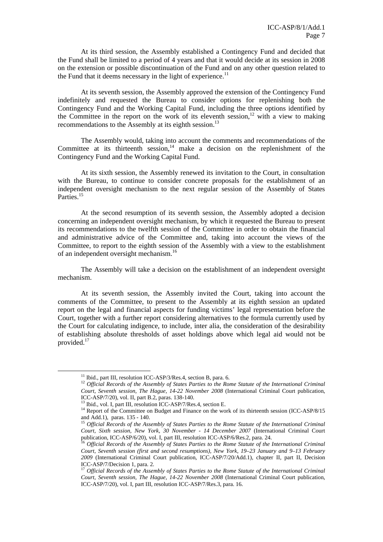At its third session, the Assembly established a Contingency Fund and decided that the Fund shall be limited to a period of 4 years and that it would decide at its session in 2008 on the extension or possible discontinuation of the Fund and on any other question related to the Fund that it deems necessary in the light of experience.<sup>11</sup>

At its seventh session, the Assembly approved the extension of the Contingency Fund indefinitely and requested the Bureau to consider options for replenishing both the Contingency Fund and the Working Capital Fund, including the three options identified by the Committee in the report on the work of its eleventh session,<sup>12</sup> with a view to making recommendations to the Assembly at its eighth session.<sup>13</sup>

 The Assembly would, taking into account the comments and recommendations of the Committee at its thirteenth session, $14$  make a decision on the replenishment of the Contingency Fund and the Working Capital Fund.

 At its sixth session, the Assembly renewed its invitation to the Court, in consultation with the Bureau, to continue to consider concrete proposals for the establishment of an independent oversight mechanism to the next regular session of the Assembly of States Parties.<sup>15</sup>

 At the second resumption of its seventh session, the Assembly adopted a decision concerning an independent oversight mechanism, by which it requested the Bureau to present its recommendations to the twelfth session of the Committee in order to obtain the financial and administrative advice of the Committee and, taking into account the views of the Committee, to report to the eighth session of the Assembly with a view to the establishment of an independent oversight mechanism.<sup>16</sup>

 The Assembly will take a decision on the establishment of an independent oversight mechanism.

 At its seventh session, the Assembly invited the Court, taking into account the comments of the Committee, to present to the Assembly at its eighth session an updated report on the legal and financial aspects for funding victims' legal representation before the Court, together with a further report considering alternatives to the formula currently used by the Court for calculating indigence, to include, inter alia, the consideration of the desirability of establishing absolute thresholds of asset holdings above which legal aid would not be provided.17

<sup>&</sup>lt;sup>11</sup> Ibid., part III, resolution ICC-ASP/3/Res.4, section B, para. 6.<br><sup>12</sup> *Official Records of the Assembly of States Parties to the Rome Statute of the International Criminal Court, Seventh session, The Hague, 14-22 November 2008* (International Criminal Court publication, ICC-ASP/7/20), vol. II, part B.2, paras. 138-140.<br><sup>13</sup> Ibid., vol. I, part III, resolution ICC-ASP/7/Res.4, section E.

 $14$  Report of the Committee on Budget and Finance on the work of its thirteenth session (ICC-ASP/8/15 and Add.1), paras. 135 - 140.

<sup>15</sup> *Official Records of the Assembly of States Parties to the Rome Statute of the International Criminal Court, Sixth session, New York, 30 November - 14 December 2007* (International Criminal Court publication, ICC-ASP/6/20), vol. I, part III, resolution ICC-ASP/6/Res.2, para. 24. 16 *Official Records of the Assembly of States Parties to the Rome Statute of the International Criminal* 

*Court, Seventh session (first and second resumptions), New York, 19–23 January and 9–13 February 2009* (International Criminal Court publication, ICC-ASP/7/20/Add.1), chapter II, part II, Decision ICC-ASP/7/Decision 1, para. 2.

<sup>&</sup>lt;sup>17</sup> Official Records of the Assembly of States Parties to the Rome Statute of the International Criminal *Court, Seventh session, The Hague, 14-22 November 2008* (International Criminal Court publication, ICC-ASP/7/20), vol. I, part III, resolution ICC-ASP/7/Res.3, para. 16.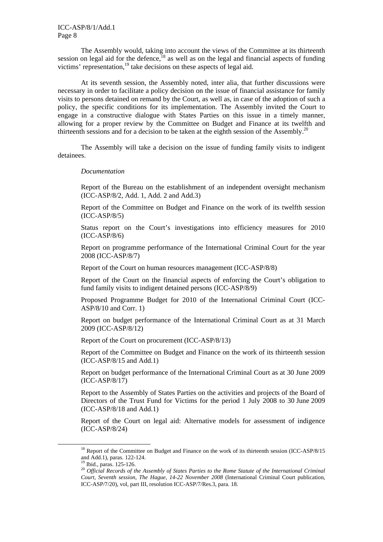The Assembly would, taking into account the views of the Committee at its thirteenth session on legal aid for the defence, $18$  as well as on the legal and financial aspects of funding victims' representation,<sup>19</sup> take decisions on these aspects of legal aid.

At its seventh session, the Assembly noted, inter alia, that further discussions were necessary in order to facilitate a policy decision on the issue of financial assistance for family visits to persons detained on remand by the Court, as well as, in case of the adoption of such a policy, the specific conditions for its implementation. The Assembly invited the Court to engage in a constructive dialogue with States Parties on this issue in a timely manner, allowing for a proper review by the Committee on Budget and Finance at its twelfth and thirteenth sessions and for a decision to be taken at the eighth session of the Assembly.<sup>20</sup>

The Assembly will take a decision on the issue of funding family visits to indigent detainees.

#### *Documentation*

Report of the Bureau on the establishment of an independent oversight mechanism (ICC-ASP/8/2, Add. 1, Add. 2 and Add.3)

Report of the Committee on Budget and Finance on the work of its twelfth session (ICC-ASP/8/5)

Status report on the Court's investigations into efficiency measures for 2010 (ICC-ASP/8/6)

Report on programme performance of the International Criminal Court for the year 2008 (ICC-ASP/8/7)

Report of the Court on human resources management (ICC-ASP/8/8)

Report of the Court on the financial aspects of enforcing the Court's obligation to fund family visits to indigent detained persons (ICC-ASP/8/9)

Proposed Programme Budget for 2010 of the International Criminal Court (ICC-ASP/8/10 and Corr. 1)

Report on budget performance of the International Criminal Court as at 31 March 2009 (ICC-ASP/8/12)

Report of the Court on procurement (ICC-ASP/8/13)

Report of the Committee on Budget and Finance on the work of its thirteenth session (ICC-ASP/8/15 and Add.1)

Report on budget performance of the International Criminal Court as at 30 June 2009 (ICC-ASP/8/17)

Report to the Assembly of States Parties on the activities and projects of the Board of Directors of the Trust Fund for Victims for the period 1 July 2008 to 30 June 2009 (ICC-ASP/8/18 and Add.1)

Report of the Court on legal aid: Alternative models for assessment of indigence (ICC-ASP/8/24)

<sup>&</sup>lt;sup>18</sup> Report of the Committee on Budget and Finance on the work of its thirteenth session (ICC-ASP/8/15 and Add.1), paras. 122-124.

<sup>&</sup>lt;sup>19</sup> Ibid., paras. 125-126.

<sup>20</sup> *Official Records of the Assembly of States Parties to the Rome Statute of the International Criminal Court, Seventh session, The Hague, 14-22 November 2008* (International Criminal Court publication, ICC-ASP/7/20), vol, part III, resolution ICC-ASP/7/Res.3, para. 18.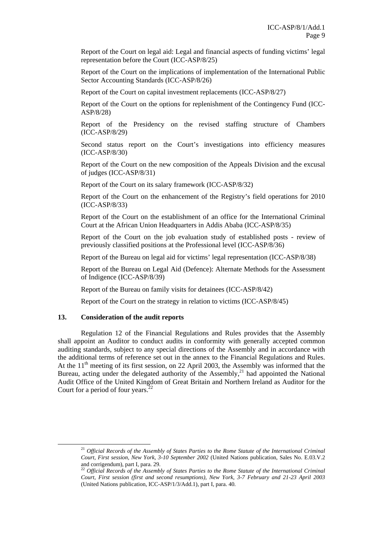Report of the Court on legal aid: Legal and financial aspects of funding victims' legal representation before the Court (ICC-ASP/8/25)

Report of the Court on the implications of implementation of the International Public Sector Accounting Standards (ICC-ASP/8/26)

Report of the Court on capital investment replacements (ICC-ASP/8/27)

Report of the Court on the options for replenishment of the Contingency Fund (ICC-ASP/8/28)

Report of the Presidency on the revised staffing structure of Chambers (ICC-ASP/8/29)

Second status report on the Court's investigations into efficiency measures (ICC-ASP/8/30)

Report of the Court on the new composition of the Appeals Division and the excusal of judges (ICC-ASP/8/31)

Report of the Court on its salary framework (ICC-ASP/8/32)

Report of the Court on the enhancement of the Registry's field operations for 2010 (ICC-ASP/8/33)

Report of the Court on the establishment of an office for the International Criminal Court at the African Union Headquarters in Addis Ababa (ICC-ASP/8/35)

Report of the Court on the job evaluation study of established posts - review of previously classified positions at the Professional level (ICC-ASP/8/36)

Report of the Bureau on legal aid for victims' legal representation (ICC-ASP/8/38)

Report of the Bureau on Legal Aid (Defence): Alternate Methods for the Assessment of Indigence (ICC-ASP/8/39)

Report of the Bureau on family visits for detainees (ICC-ASP/8/42)

Report of the Court on the strategy in relation to victims (ICC-ASP/8/45)

#### **13. Consideration of the audit reports**

Regulation 12 of the Financial Regulations and Rules provides that the Assembly shall appoint an Auditor to conduct audits in conformity with generally accepted common auditing standards, subject to any special directions of the Assembly and in accordance with the additional terms of reference set out in the annex to the Financial Regulations and Rules. At the  $11<sup>th</sup>$  meeting of its first session, on 22 April 2003, the Assembly was informed that the Bureau, acting under the delegated authority of the Assembly,<sup>21</sup> had appointed the National Audit Office of the United Kingdom of Great Britain and Northern Ireland as Auditor for the Court for a period of four years. $^{22}$ 

 <sup>21</sup> *Official Records of the Assembly of States Parties to the Rome Statute of the International Criminal Court, First session, New York, 3-10 September 2002* (United Nations publication, Sales No. E.03.V.2 and corrigendum), part I, para. 29.

<sup>22</sup> *Official Records of the Assembly of States Parties to the Rome Statute of the International Criminal Court, First session (first and second resumptions), New York, 3-7 February and 21-23 April 2003*  (United Nations publication, ICC-ASP/1/3/Add.1), part I, para. 40.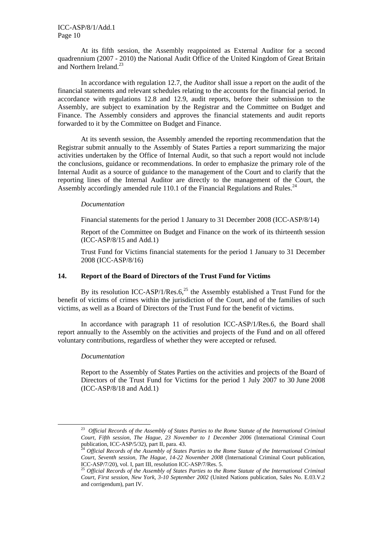#### ICC-ASP/8/1/Add.1 Page 10

 At its fifth session, the Assembly reappointed as External Auditor for a second quadrennium (2007 - 2010) the National Audit Office of the United Kingdom of Great Britain and Northern Ireland.<sup>23</sup>

In accordance with regulation 12.7, the Auditor shall issue a report on the audit of the financial statements and relevant schedules relating to the accounts for the financial period. In accordance with regulations 12.8 and 12.9, audit reports, before their submission to the Assembly, are subject to examination by the Registrar and the Committee on Budget and Finance. The Assembly considers and approves the financial statements and audit reports forwarded to it by the Committee on Budget and Finance.

 At its seventh session, the Assembly amended the reporting recommendation that the Registrar submit annually to the Assembly of States Parties a report summarizing the major activities undertaken by the Office of Internal Audit, so that such a report would not include the conclusions, guidance or recommendations. In order to emphasize the primary role of the Internal Audit as a source of guidance to the management of the Court and to clarify that the reporting lines of the Internal Auditor are directly to the management of the Court, the Assembly accordingly amended rule 110.1 of the Financial Regulations and Rules.<sup>24</sup>

#### *Documentation*

Financial statements for the period 1 January to 31 December 2008 (ICC-ASP/8/14)

Report of the Committee on Budget and Finance on the work of its thirteenth session (ICC-ASP/8/15 and Add.1)

Trust Fund for Victims financial statements for the period 1 January to 31 December 2008 (ICC-ASP/8/16)

#### **14. Report of the Board of Directors of the Trust Fund for Victims**

By its resolution ICC-ASP/1/Res. $6<sub>1</sub><sup>25</sup>$  the Assembly established a Trust Fund for the benefit of victims of crimes within the jurisdiction of the Court, and of the families of such victims, as well as a Board of Directors of the Trust Fund for the benefit of victims.

In accordance with paragraph 11 of resolution ICC-ASP/1/Res.6, the Board shall report annually to the Assembly on the activities and projects of the Fund and on all offered voluntary contributions, regardless of whether they were accepted or refused.

#### *Documentation*

Report to the Assembly of States Parties on the activities and projects of the Board of Directors of the Trust Fund for Victims for the period 1 July 2007 to 30 June 2008 (ICC-ASP/8/18 and Add.1)

 <sup>23</sup> *Official Records of the Assembly of States Parties to the Rome Statute of the International Criminal Court, Fifth session, The Hague, 23 November to 1 December 2006* (International Criminal Court publication, ICC-ASP/5/32), part II, para. 43.

<sup>24</sup> *Official Records of the Assembly of States Parties to the Rome Statute of the International Criminal Court, Seventh session, The Hague, 14-22 November 2008* (International Criminal Court publication, ICC-ASP/7/20), vol. I, part III, resolution ICC-ASP/7/Res. 5.

<sup>25</sup> *Official Records of the Assembly of States Parties to the Rome Statute of the International Criminal Court, First session, New York, 3-10 September 2002* (United Nations publication, Sales No. E.03.V.2 and corrigendum), part IV.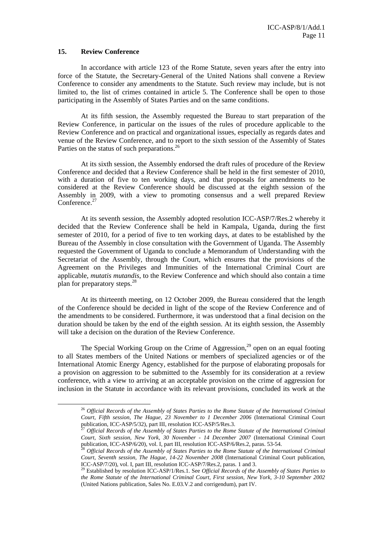#### **15. Review Conference**

In accordance with article 123 of the Rome Statute, seven years after the entry into force of the Statute, the Secretary-General of the United Nations shall convene a Review Conference to consider any amendments to the Statute. Such review may include, but is not limited to, the list of crimes contained in article 5. The Conference shall be open to those participating in the Assembly of States Parties and on the same conditions.

At its fifth session, the Assembly requested the Bureau to start preparation of the Review Conference, in particular on the issues of the rules of procedure applicable to the Review Conference and on practical and organizational issues, especially as regards dates and venue of the Review Conference, and to report to the sixth session of the Assembly of States Parties on the status of such preparations.<sup>26</sup>

 At its sixth session, the Assembly endorsed the draft rules of procedure of the Review Conference and decided that a Review Conference shall be held in the first semester of 2010, with a duration of five to ten working days, and that proposals for amendments to be considered at the Review Conference should be discussed at the eighth session of the Assembly in 2009, with a view to promoting consensus and a well prepared Review Conference.<sup>27</sup>

At its seventh session, the Assembly adopted resolution ICC-ASP/7/Res.2 whereby it decided that the Review Conference shall be held in Kampala, Uganda, during the first semester of 2010, for a period of five to ten working days, at dates to be established by the Bureau of the Assembly in close consultation with the Government of Uganda. The Assembly requested the Government of Uganda to conclude a Memorandum of Understanding with the Secretariat of the Assembly, through the Court, which ensures that the provisions of the Agreement on the Privileges and Immunities of the International Criminal Court are applicable, *mutatis mutandis*, to the Review Conference and which should also contain a time plan for preparatory steps.<sup>28</sup>

At its thirteenth meeting, on 12 October 2009, the Bureau considered that the length of the Conference should be decided in light of the scope of the Review Conference and of the amendments to be considered. Furthermore, it was understood that a final decision on the duration should be taken by the end of the eighth session. At its eighth session, the Assembly will take a decision on the duration of the Review Conference.

The Special Working Group on the Crime of Aggression, $^{29}$  open on an equal footing to all States members of the United Nations or members of specialized agencies or of the International Atomic Energy Agency, established for the purpose of elaborating proposals for a provision on aggression to be submitted to the Assembly for its consideration at a review conference, with a view to arriving at an acceptable provision on the crime of aggression for inclusion in the Statute in accordance with its relevant provisions, concluded its work at the

 <sup>26</sup> *Official Records of the Assembly of States Parties to the Rome Statute of the International Criminal Court, Fifth session, The Hague, 23 November to 1 December 2006* (International Criminal Court publication, ICC-ASP/5/32), part III, resolution ICC-ASP/5/Res.3.

publication, ICC-ASP/5/32), part III, resolution ICC-ASP/5/Res.3. 27 *Official Records of the Assembly of States Parties to the Rome Statute of the International Criminal Court, Sixth session, New York, 30 November - 14 December 2007* (International Criminal Court publication, ICC-ASP/6/20), vol. I, part III, resolution ICC-ASP/6/Res.2, paras. 53-54. 28 *Official Records of the Assembly of States Parties to the Rome Statute of the International Criminal* 

*Court, Seventh session, The Hague, 14-22 November 2008* (International Criminal Court publication, ICC-ASP/7/20), vol. I, part III, resolution ICC-ASP/7/Res.2, paras. 1 and 3. 29 Established by resolution ICC-ASP/1/Res.1. See *Official Records of the Assembly of States Parties to* 

*the Rome Statute of the International Criminal Court, First session, New York, 3-10 September 2002* (United Nations publication, Sales No. E.03.V.2 and corrigendum), part IV.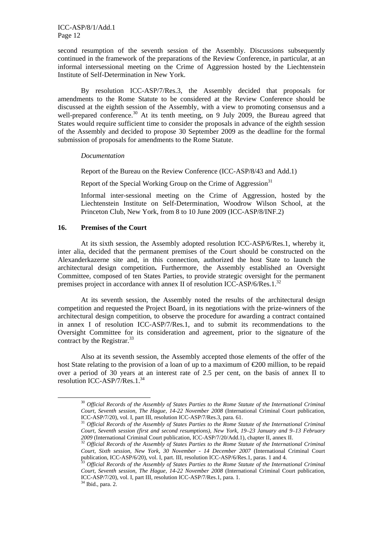second resumption of the seventh session of the Assembly. Discussions subsequently continued in the framework of the preparations of the Review Conference, in particular, at an informal intersessional meeting on the Crime of Aggression hosted by the Liechtenstein Institute of Self-Determination in New York.

 By resolution ICC-ASP/7/Res.3, the Assembly decided that proposals for amendments to the Rome Statute to be considered at the Review Conference should be discussed at the eighth session of the Assembly, with a view to promoting consensus and a well-prepared conference.<sup>30</sup> At its tenth meeting, on 9 July 2009, the Bureau agreed that States would require sufficient time to consider the proposals in advance of the eighth session of the Assembly and decided to propose 30 September 2009 as the deadline for the formal submission of proposals for amendments to the Rome Statute.

#### *Documentation*

Report of the Bureau on the Review Conference (ICC-ASP/8/43 and Add.1)

Report of the Special Working Group on the Crime of Aggression<sup>31</sup>

Informal inter-sessional meeting on the Crime of Aggression, hosted by the Liechtenstein Institute on Self-Determination, Woodrow Wilson School, at the Princeton Club, New York, from 8 to 10 June 2009 (ICC-ASP/8/INF.2)

## **16. Premises of the Court**

At its sixth session, the Assembly adopted resolution ICC-ASP/6/Res.1, whereby it, inter alia, decided that the permanent premises of the Court should be constructed on the Alexanderkazerne site and, in this connection, authorized the host State to launch the architectural design competition**.** Furthermore, the Assembly established an Oversight Committee, composed of ten States Parties, to provide strategic oversight for the permanent premises project in accordance with annex II of resolution ICC-ASP/6/Res.1.<sup>32</sup>

At its seventh session, the Assembly noted the results of the architectural design competition and requested the Project Board, in its negotiations with the prize-winners of the architectural design competition, to observe the procedure for awarding a contract contained in annex I of resolution ICC-ASP/7/Res.1, and to submit its recommendations to the Oversight Committee for its consideration and agreement, prior to the signature of the contract by the Registrar.<sup>33</sup>

Also at its seventh session, the Assembly accepted those elements of the offer of the host State relating to the provision of a loan of up to a maximum of €200 million, to be repaid over a period of 30 years at an interest rate of 2.5 per cent, on the basis of annex II to resolution ICC-ASP/7/Res.1. $34$ 

 <sup>30</sup> *Official Records of the Assembly of States Parties to the Rome Statute of the International Criminal Court, Seventh session, The Hague, 14-22 November 2008* (International Criminal Court publication,

ICC-ASP/7/20), vol. I, part III, resolution ICC-ASP/7/Res.3, para. 61.<br><sup>31</sup> Official Records of the Assembly of States Parties to the Rome Statute of the International Criminal *Court, Seventh session (first and second resumptions), New York, 19–23 January and 9–13 February <sup>2009</sup>* (International Criminal Court publication, ICC-ASP/7/20/Add.1), chapter II, annex II. 32 *Official Records of the Assembly of States Parties to the Rome Statute of the International Criminal* 

*Court, Sixth session, New York, 30 November - 14 December 2007* (International Criminal Court

<sup>&</sup>lt;sup>5</sup> Official Records of the Assembly of States Parties to the Rome Statute of the International Criminal *Court, Seventh session, The Hague, 14-22 November 2008* (International Criminal Court publication, ICC-ASP/7/20), vol. I, part III, resolution ICC-ASP/7/Res.1, para. 1.  $^{34}$ Ibid., para. 2.